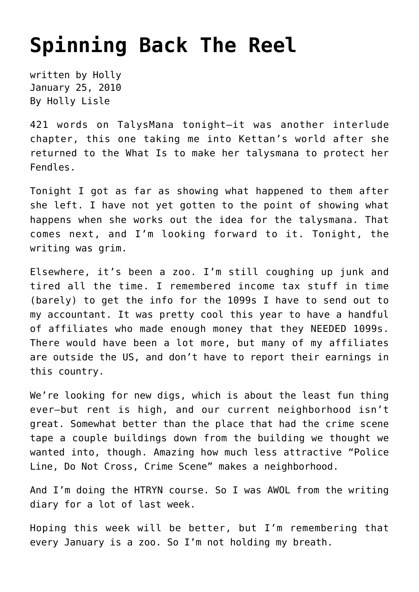## **[Spinning Back The Reel](https://hollylisle.com/spinning-back-the-reel/)**

written by Holly January 25, 2010 [By Holly Lisle](https://hollylisle.com)

421 words on [TalysMana](http://talysmana.com) tonight—it was another interlude chapter, this one taking me into Kettan's world after she returned to the What Is to make her talysmana to protect her Fendles.

Tonight I got as far as showing what happened to them after she left. I have not yet gotten to the point of showing what happens when she works out the idea for the talysmana. That comes next, and I'm looking forward to it. Tonight, the writing was grim.

Elsewhere, it's been a zoo. I'm still coughing up junk and tired all the time. I remembered income tax stuff in time (barely) to get the info for the 1099s I have to send out to my accountant. It was pretty cool this year to have a handful of affiliates who made enough money that they NEEDED 1099s. There would have been a lot more, but many of my affiliates are outside the US, and don't have to report their earnings in this country.

We're looking for new digs, which is about the least fun thing ever—but rent is high, and our current neighborhood isn't great. Somewhat better than the place that had the crime scene tape a couple buildings down from the building we thought we wanted into, though. Amazing how much less attractive "Police Line, Do Not Cross, Crime Scene" makes a neighborhood.

And I'm doing the HTRYN course. So I was AWOL from the writing diary for a lot of last week.

Hoping this week will be better, but I'm remembering that every January is a zoo. So I'm not holding my breath.